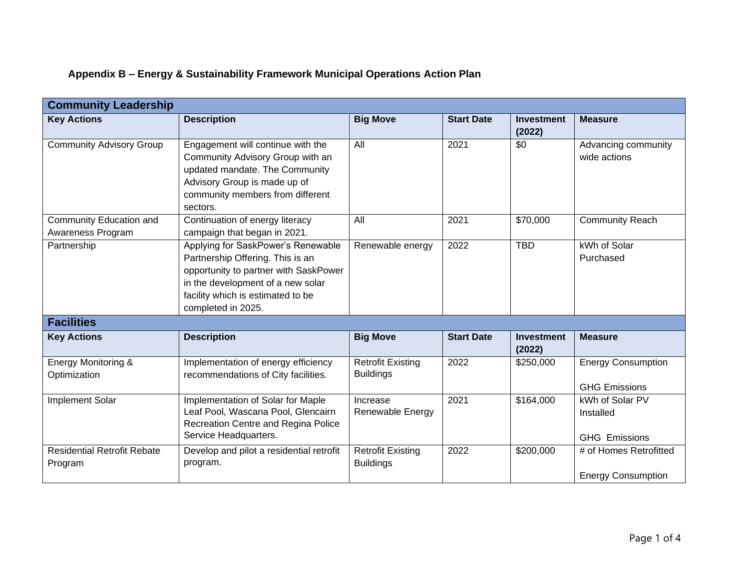## **Appendix B – Energy & Sustainability Framework Municipal Operations Action Plan**

| <b>Community Leadership</b>                    |                                                                                                                                                                                                                 |                                              |                   |                             |                                                      |  |
|------------------------------------------------|-----------------------------------------------------------------------------------------------------------------------------------------------------------------------------------------------------------------|----------------------------------------------|-------------------|-----------------------------|------------------------------------------------------|--|
| <b>Key Actions</b>                             | <b>Description</b>                                                                                                                                                                                              | <b>Big Move</b>                              | <b>Start Date</b> | <b>Investment</b><br>(2022) | <b>Measure</b>                                       |  |
| <b>Community Advisory Group</b>                | Engagement will continue with the<br>Community Advisory Group with an<br>updated mandate. The Community<br>Advisory Group is made up of<br>community members from different<br>sectors.                         | All                                          | 2021              | \$0                         | Advancing community<br>wide actions                  |  |
| Community Education and<br>Awareness Program   | Continuation of energy literacy<br>campaign that began in 2021.                                                                                                                                                 | All                                          | 2021              | \$70,000                    | <b>Community Reach</b>                               |  |
| Partnership                                    | Applying for SaskPower's Renewable<br>Partnership Offering. This is an<br>opportunity to partner with SaskPower<br>in the development of a new solar<br>facility which is estimated to be<br>completed in 2025. | Renewable energy                             | 2022              | <b>TBD</b>                  | kWh of Solar<br>Purchased                            |  |
| <b>Facilities</b>                              |                                                                                                                                                                                                                 |                                              |                   |                             |                                                      |  |
| <b>Key Actions</b>                             | <b>Description</b>                                                                                                                                                                                              | <b>Big Move</b>                              | <b>Start Date</b> | <b>Investment</b><br>(2022) | <b>Measure</b>                                       |  |
| <b>Energy Monitoring &amp;</b><br>Optimization | Implementation of energy efficiency<br>recommendations of City facilities.                                                                                                                                      | <b>Retrofit Existing</b><br><b>Buildings</b> | 2022              | \$250,000                   | <b>Energy Consumption</b><br><b>GHG Emissions</b>    |  |
| Implement Solar                                | Implementation of Solar for Maple<br>Leaf Pool, Wascana Pool, Glencairn<br>Recreation Centre and Regina Police<br>Service Headquarters.                                                                         | Increase<br>Renewable Energy                 | 2021              | \$164,000                   | kWh of Solar PV<br>Installed<br><b>GHG Emissions</b> |  |
| <b>Residential Retrofit Rebate</b><br>Program  | Develop and pilot a residential retrofit<br>program.                                                                                                                                                            | <b>Retrofit Existing</b><br><b>Buildings</b> | 2022              | \$200,000                   | # of Homes Retrofitted<br><b>Energy Consumption</b>  |  |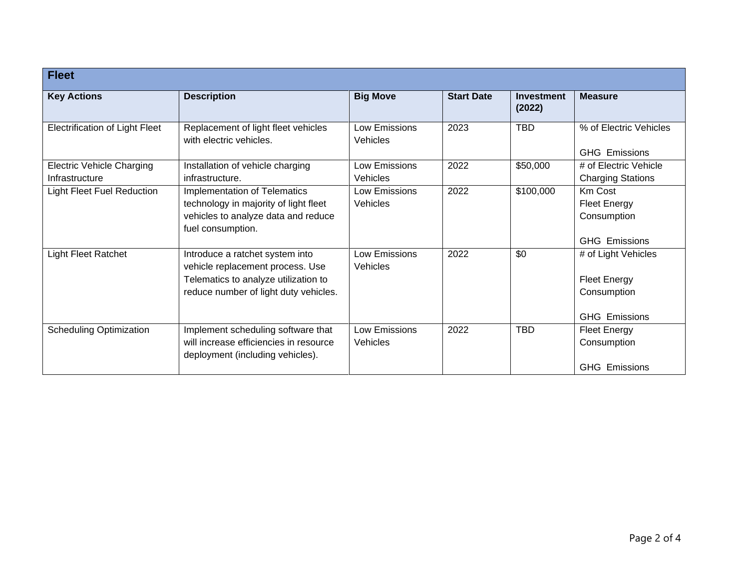| <b>Fleet</b>                                       |                                                                                                                                                      |                                         |                   |                             |                                                                                   |
|----------------------------------------------------|------------------------------------------------------------------------------------------------------------------------------------------------------|-----------------------------------------|-------------------|-----------------------------|-----------------------------------------------------------------------------------|
| <b>Key Actions</b>                                 | <b>Description</b>                                                                                                                                   | <b>Big Move</b>                         | <b>Start Date</b> | <b>Investment</b><br>(2022) | <b>Measure</b>                                                                    |
| <b>Electrification of Light Fleet</b>              | Replacement of light fleet vehicles<br>with electric vehicles.                                                                                       | Low Emissions<br><b>Vehicles</b>        | 2023              | <b>TBD</b>                  | % of Electric Vehicles<br><b>GHG Emissions</b>                                    |
| <b>Electric Vehicle Charging</b><br>Infrastructure | Installation of vehicle charging<br>infrastructure.                                                                                                  | <b>Low Emissions</b><br><b>Vehicles</b> | 2022              | \$50,000                    | # of Electric Vehicle<br><b>Charging Stations</b>                                 |
| <b>Light Fleet Fuel Reduction</b>                  | <b>Implementation of Telematics</b><br>technology in majority of light fleet<br>vehicles to analyze data and reduce<br>fuel consumption.             | Low Emissions<br><b>Vehicles</b>        | 2022              | \$100,000                   | Km Cost<br><b>Fleet Energy</b><br>Consumption<br><b>GHG Emissions</b>             |
| <b>Light Fleet Ratchet</b>                         | Introduce a ratchet system into<br>vehicle replacement process. Use<br>Telematics to analyze utilization to<br>reduce number of light duty vehicles. | <b>Low Emissions</b><br><b>Vehicles</b> | 2022              | \$0                         | # of Light Vehicles<br><b>Fleet Energy</b><br>Consumption<br><b>GHG Emissions</b> |
| <b>Scheduling Optimization</b>                     | Implement scheduling software that<br>will increase efficiencies in resource<br>deployment (including vehicles).                                     | Low Emissions<br>Vehicles               | 2022              | <b>TBD</b>                  | <b>Fleet Energy</b><br>Consumption<br><b>GHG Emissions</b>                        |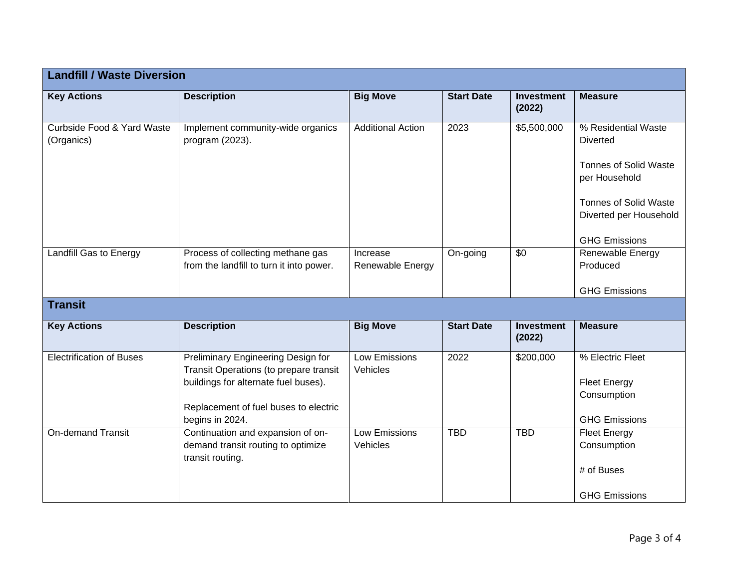| <b>Landfill / Waste Diversion</b>        |                                                                                                                                                                                  |                                  |                   |                             |                                                                                                                                                                           |  |
|------------------------------------------|----------------------------------------------------------------------------------------------------------------------------------------------------------------------------------|----------------------------------|-------------------|-----------------------------|---------------------------------------------------------------------------------------------------------------------------------------------------------------------------|--|
| <b>Key Actions</b>                       | <b>Description</b>                                                                                                                                                               | <b>Big Move</b>                  | <b>Start Date</b> | <b>Investment</b><br>(2022) | <b>Measure</b>                                                                                                                                                            |  |
| Curbside Food & Yard Waste<br>(Organics) | Implement community-wide organics<br>program (2023).                                                                                                                             | <b>Additional Action</b>         | 2023              | \$5,500,000                 | % Residential Waste<br><b>Diverted</b><br><b>Tonnes of Solid Waste</b><br>per Household<br><b>Tonnes of Solid Waste</b><br>Diverted per Household<br><b>GHG Emissions</b> |  |
| Landfill Gas to Energy                   | Process of collecting methane gas<br>from the landfill to turn it into power.                                                                                                    | Increase<br>Renewable Energy     | On-going          | \$0                         | Renewable Energy<br>Produced<br><b>GHG Emissions</b>                                                                                                                      |  |
| <b>Transit</b>                           |                                                                                                                                                                                  |                                  |                   |                             |                                                                                                                                                                           |  |
| <b>Key Actions</b>                       | <b>Description</b>                                                                                                                                                               | <b>Big Move</b>                  | <b>Start Date</b> | <b>Investment</b><br>(2022) | <b>Measure</b>                                                                                                                                                            |  |
| <b>Electrification of Buses</b>          | Preliminary Engineering Design for<br>Transit Operations (to prepare transit<br>buildings for alternate fuel buses).<br>Replacement of fuel buses to electric<br>begins in 2024. | Low Emissions<br>Vehicles        | 2022              | \$200,000                   | % Electric Fleet<br><b>Fleet Energy</b><br>Consumption<br><b>GHG Emissions</b>                                                                                            |  |
| <b>On-demand Transit</b>                 | Continuation and expansion of on-<br>demand transit routing to optimize<br>transit routing.                                                                                      | <b>Low Emissions</b><br>Vehicles | <b>TBD</b>        | <b>TBD</b>                  | <b>Fleet Energy</b><br>Consumption<br># of Buses<br><b>GHG Emissions</b>                                                                                                  |  |